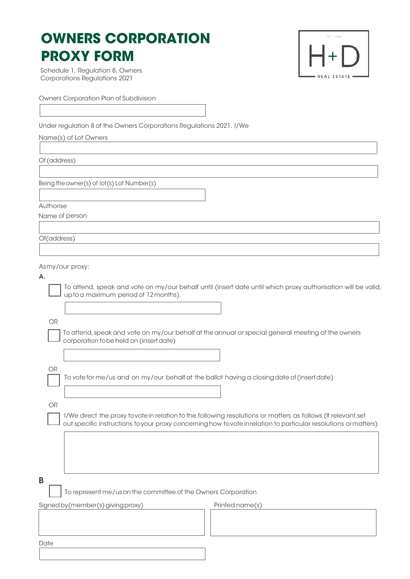## **OWNERS CORPORATION PROXY FORM**

EST. 1920 REAL ESTATE

Schedule 1, Regulation 8, Owners Corporations Regulations 2021

Owners Corporation Plan of Subdivision

Under regulation 8 of the Owners Corporations Regulations 2021, I/We

Name(s) of Lot Owners

Of (address)

Being theowner(s) of lot(s) Lot Number(s)

Authorise

Name of person

Of(address)

Asmy/our proxy:

| -   |  |
|-----|--|
| . . |  |

To attend, speak and vote on my/our behalf until (insert date until which proxy authorisation will be valid, uptoa maximum period of 12months).

OR

To attend, speak and vote on my/our behalf at the annual or special general meeting of the owners corporation tobe held on (insertdate)

To vote for me/us and on my/our behalf at the ballot having a closingdate of(insertdate)

OR

OR

I/We direct the proxy tovote in relation to the following resolutions or matters as follows (If relevant,set out specific instructions toyour proxy concerninghow tovoteinrelation to particular resolutions ormatters)

B

To represent me/us on the committee of the Owners Corporation

Signed by (member(s) giving proxy) example a printed name (s)

**Date**